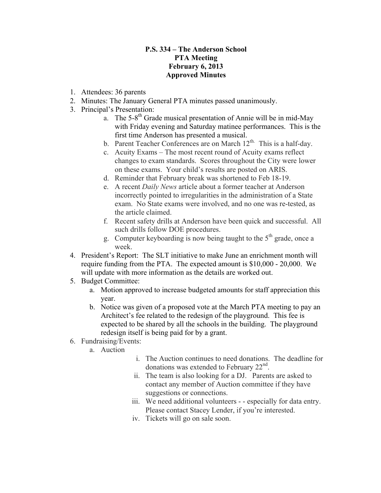## **P.S. 334 – The Anderson School PTA Meeting February 6, 2013 Approved Minutes**

- 1. Attendees: 36 parents
- 2. Minutes: The January General PTA minutes passed unanimously.
- 3. Principal's Presentation:
	- a. The  $5-8^{th}$  Grade musical presentation of Annie will be in mid-May with Friday evening and Saturday matinee performances. This is the first time Anderson has presented a musical.
	- b. Parent Teacher Conferences are on March  $12<sup>th</sup>$ . This is a half-day.
	- c. Acuity Exams The most recent round of Acuity exams reflect changes to exam standards. Scores throughout the City were lower on these exams. Your child's results are posted on ARIS.
	- d. Reminder that February break was shortened to Feb 18-19.
	- e. A recent *Daily News* article about a former teacher at Anderson incorrectly pointed to irregularities in the administration of a State exam. No State exams were involved, and no one was re-tested, as the article claimed.
	- f. Recent safety drills at Anderson have been quick and successful. All such drills follow DOE procedures.
	- g. Computer keyboarding is now being taught to the  $5<sup>th</sup>$  grade, once a week.
- 4. President's Report: The SLT initiative to make June an enrichment month will require funding from the PTA. The expected amount is \$10,000 - 20,000. We will update with more information as the details are worked out.
- 5. Budget Committee:
	- a. Motion approved to increase budgeted amounts for staff appreciation this year.
	- b. Notice was given of a proposed vote at the March PTA meeting to pay an Architect's fee related to the redesign of the playground. This fee is expected to be shared by all the schools in the building. The playground redesign itself is being paid for by a grant.
- 6. Fundraising/Events:
	- a. Auction
- i. The Auction continues to need donations. The deadline for donations was extended to February  $22<sup>nd</sup>$ .
- ii. The team is also looking for a DJ. Parents are asked to contact any member of Auction committee if they have suggestions or connections.
- iii. We need additional volunteers - especially for data entry. Please contact Stacey Lender, if you're interested.
- iv. Tickets will go on sale soon.